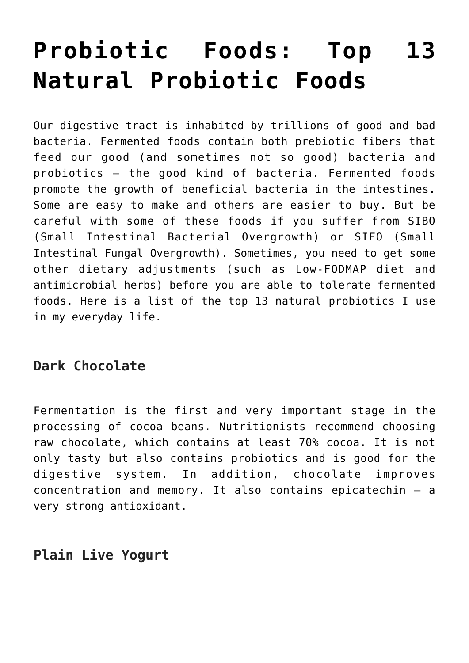# **[Probiotic Foods: Top 13](https://sproutshealth.com/probiotic-foods-top-13-natural-probiotic-foods/) [Natural Probiotic Foods](https://sproutshealth.com/probiotic-foods-top-13-natural-probiotic-foods/)**

Our digestive tract is inhabited by trillions of good and bad bacteria. Fermented foods contain both prebiotic fibers that feed our good (and sometimes not so good) bacteria and probiotics – the good kind of bacteria. Fermented foods promote the growth of beneficial bacteria in the intestines. Some are easy to make and others are easier to buy. But be careful with some of these foods if you suffer from SIBO (Small Intestinal Bacterial Overgrowth) or SIFO (Small Intestinal Fungal Overgrowth). Sometimes, you need to get some other dietary adjustments (such as Low-FODMAP diet and antimicrobial herbs) before you are able to tolerate fermented foods. Here is a list of the top 13 natural probiotics I use in my everyday life.

## **Dark Chocolate**

Fermentation is the first and very important stage in the processing of cocoa beans. Nutritionists recommend choosing raw chocolate, which contains at least 70% cocoa. It is not only tasty but also contains probiotics and is good for the digestive system. In addition, chocolate improves concentration and memory. It also contains epicatechin – a very strong antioxidant.

### **Plain Live Yogurt**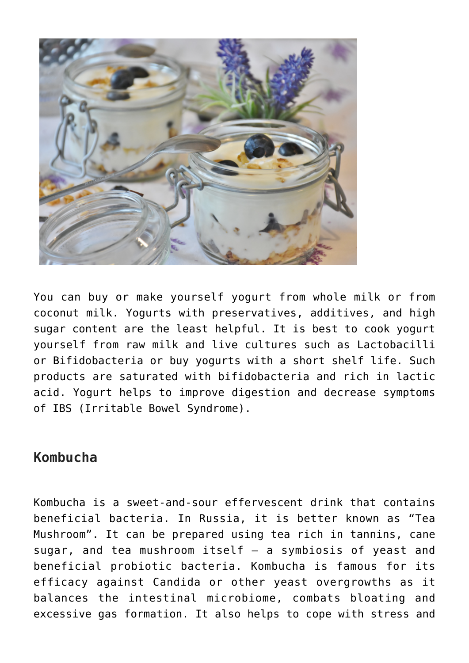

You can buy or make yourself yogurt from whole milk or from coconut milk. Yogurts with preservatives, additives, and high sugar content are the least helpful. It is best to cook yogurt yourself from raw milk and live cultures such as Lactobacilli or Bifidobacteria or buy yogurts with a short shelf life. Such products are saturated with bifidobacteria and rich in lactic acid. Yogurt helps to improve digestion and decrease symptoms of IBS (Irritable Bowel Syndrome).

### **Kombucha**

Kombucha is a sweet-and-sour effervescent drink that contains beneficial bacteria. In Russia, it is better known as "Tea Mushroom". It can be prepared using tea rich in tannins, cane sugar, and tea mushroom itself – a symbiosis of yeast and beneficial probiotic bacteria. Kombucha is famous for its efficacy against Candida or other yeast overgrowths as it balances the intestinal microbiome, combats bloating and excessive gas formation. It also helps to cope with stress and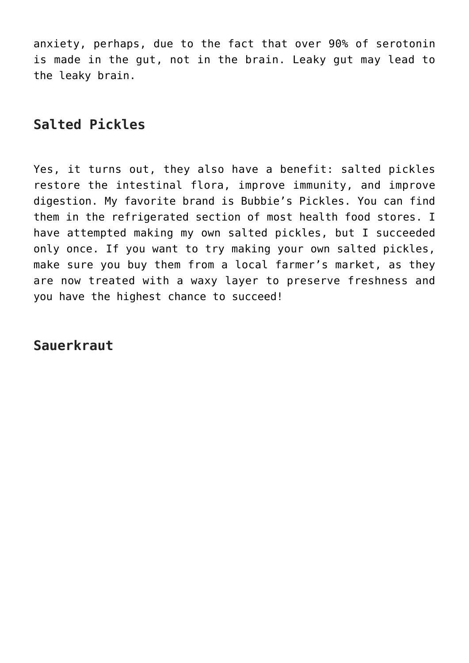anxiety, perhaps, due to the fact that over 90% of serotonin is made in the gut, not in the brain. Leaky gut may lead to the leaky brain.

# **Salted Pickles**

Yes, it turns out, they also have a benefit: salted pickles restore the intestinal flora, improve immunity, and improve digestion. My favorite brand is Bubbie's Pickles. You can find them in the refrigerated section of most health food stores. I have attempted making my own salted pickles, but I succeeded only once. If you want to try making your own salted pickles, make sure you buy them from a local farmer's market, as they are now treated with a waxy layer to preserve freshness and you have the highest chance to succeed!

**Sauerkraut**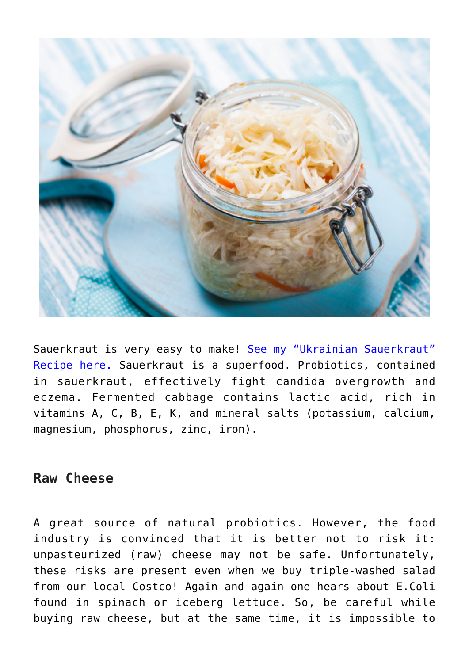

Sauerkraut is very easy to make! [See my "Ukrainian Sauerkraut"](https://sproutshealth.com/fast-ukrainian-fermented-sauerkraut/) [Recipe here. S](https://sproutshealth.com/fast-ukrainian-fermented-sauerkraut/)auerkraut is a superfood. Probiotics, contained in sauerkraut, effectively fight candida overgrowth and eczema. Fermented cabbage contains lactic acid, rich in vitamins A, C, B, E, K, and mineral salts (potassium, calcium, magnesium, phosphorus, zinc, iron).

#### **Raw Cheese**

A great source of natural probiotics. However, the food industry is convinced that it is better not to risk it: unpasteurized (raw) cheese may not be safe. Unfortunately, these risks are present even when we buy triple-washed salad from our local Costco! Again and again one hears about E.Coli found in spinach or iceberg lettuce. So, be careful while buying raw cheese, but at the same time, it is impossible to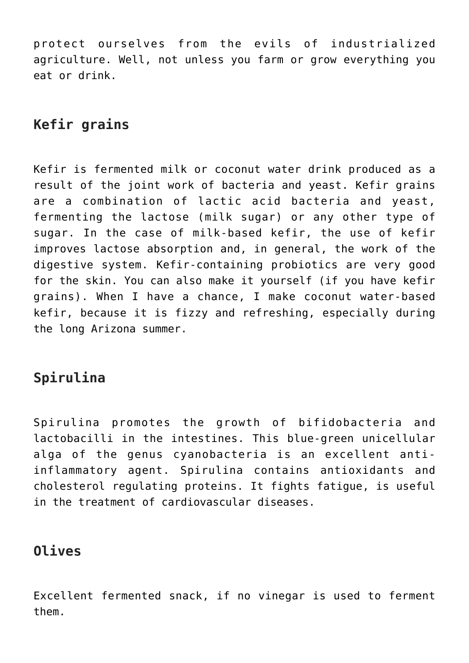protect ourselves from the evils of industrialized agriculture. Well, not unless you farm or grow everything you eat or drink.

# **Kefir grains**

Kefir is fermented milk or coconut water drink produced as a result of the joint work of bacteria and yeast. Kefir grains are a combination of lactic acid bacteria and yeast, fermenting the lactose (milk sugar) or any other type of sugar. In the case of milk-based kefir, the use of kefir improves lactose absorption and, in general, the work of the digestive system. Kefir-containing probiotics are very good for the skin. You can also make it yourself (if you have kefir grains). When I have a chance, I make coconut water-based kefir, because it is fizzy and refreshing, especially during the long Arizona summer.

# **Spirulina**

Spirulina promotes the growth of bifidobacteria and lactobacilli in the intestines. This blue-green unicellular alga of the genus cyanobacteria is an excellent antiinflammatory agent. Spirulina contains antioxidants and cholesterol regulating proteins. It fights fatigue, is useful in the treatment of cardiovascular diseases.

## **Olives**

Excellent fermented snack, if no vinegar is used to ferment them.